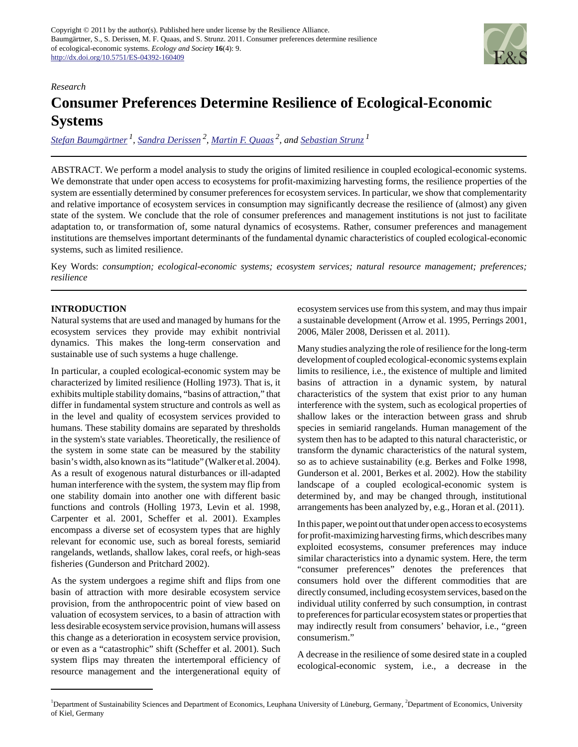

### *Research*

# **Consumer Preferences Determine Resilience of Ecological-Economic Systems**

*[Stefan Baumgärtner](mailto:baumgaertner@uni.leuphana.de)<sup>1</sup> , [Sandra Derissen](mailto:derissen@economics.uni-kiel.de)<sup>2</sup> , [Martin F. Quaas](mailto:quaas@economics.uni-kiel.de) 2, and [Sebastian Strunz](mailto:strunz@uni.leuphana.de)<sup>1</sup>*

ABSTRACT. We perform a model analysis to study the origins of limited resilience in coupled ecological-economic systems. We demonstrate that under open access to ecosystems for profit-maximizing harvesting forms, the resilience properties of the system are essentially determined by consumer preferences for ecosystem services. In particular, we show that complementarity and relative importance of ecosystem services in consumption may significantly decrease the resilience of (almost) any given state of the system. We conclude that the role of consumer preferences and management institutions is not just to facilitate adaptation to, or transformation of, some natural dynamics of ecosystems. Rather, consumer preferences and management institutions are themselves important determinants of the fundamental dynamic characteristics of coupled ecological-economic systems, such as limited resilience.

Key Words: *consumption; ecological-economic systems; ecosystem services; natural resource management; preferences; resilience*

## **INTRODUCTION**

Natural systems that are used and managed by humans for the ecosystem services they provide may exhibit nontrivial dynamics. This makes the long-term conservation and sustainable use of such systems a huge challenge.

In particular, a coupled ecological-economic system may be characterized by limited resilience (Holling 1973). That is, it exhibits multiple stability domains, "basins of attraction," that differ in fundamental system structure and controls as well as in the level and quality of ecosystem services provided to humans. These stability domains are separated by thresholds in the system's state variables. Theoretically, the resilience of the system in some state can be measured by the stability basin's width, also known as its "latitude" (Walker et al. 2004). As a result of exogenous natural disturbances or ill-adapted human interference with the system, the system may flip from one stability domain into another one with different basic functions and controls (Holling 1973, Levin et al. 1998, Carpenter et al. 2001, Scheffer et al. 2001). Examples encompass a diverse set of ecosystem types that are highly relevant for economic use, such as boreal forests, semiarid rangelands, wetlands, shallow lakes, coral reefs, or high-seas fisheries (Gunderson and Pritchard 2002).

As the system undergoes a regime shift and flips from one basin of attraction with more desirable ecosystem service provision, from the anthropocentric point of view based on valuation of ecosystem services, to a basin of attraction with less desirable ecosystem service provision, humans will assess this change as a deterioration in ecosystem service provision, or even as a "catastrophic" shift (Scheffer et al. 2001). Such system flips may threaten the intertemporal efficiency of resource management and the intergenerational equity of

ecosystem services use from this system, and may thus impair a sustainable development (Arrow et al. 1995, Perrings 2001, 2006, Mäler 2008, Derissen et al. 2011).

Many studies analyzing the role of resilience for the long-term development of coupled ecological-economic systems explain limits to resilience, i.e., the existence of multiple and limited basins of attraction in a dynamic system, by natural characteristics of the system that exist prior to any human interference with the system, such as ecological properties of shallow lakes or the interaction between grass and shrub species in semiarid rangelands. Human management of the system then has to be adapted to this natural characteristic, or transform the dynamic characteristics of the natural system, so as to achieve sustainability (e.g. Berkes and Folke 1998, Gunderson et al. 2001, Berkes et al. 2002). How the stability landscape of a coupled ecological-economic system is determined by, and may be changed through, institutional arrangements has been analyzed by, e.g., Horan et al. (2011).

In this paper, we point out that under open access to ecosystems for profit-maximizing harvesting firms, which describes many exploited ecosystems, consumer preferences may induce similar characteristics into a dynamic system. Here, the term "consumer preferences" denotes the preferences that consumers hold over the different commodities that are directly consumed, including ecosystem services, based on the individual utility conferred by such consumption, in contrast to preferences for particular ecosystem states or properties that may indirectly result from consumers' behavior, i.e., "green consumerism."

A decrease in the resilience of some desired state in a coupled ecological-economic system, i.e., a decrease in the

<sup>&</sup>lt;sup>1</sup>Department of Sustainability Sciences and Department of Economics, Leuphana University of Lüneburg, Germany, <sup>2</sup>Department of Economics, University of Kiel, Germany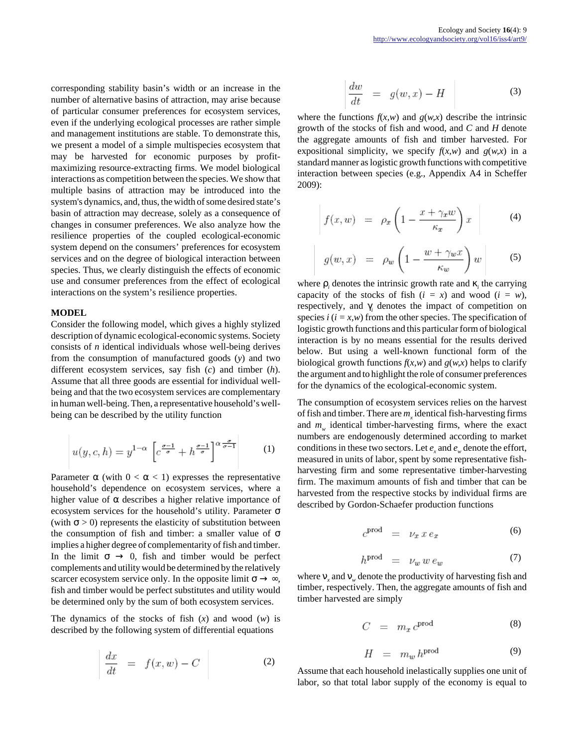corresponding stability basin's width or an increase in the number of alternative basins of attraction, may arise because of particular consumer preferences for ecosystem services, even if the underlying ecological processes are rather simple and management institutions are stable. To demonstrate this, we present a model of a simple multispecies ecosystem that may be harvested for economic purposes by profitmaximizing resource-extracting firms. We model biological interactions as competition between the species. We show that multiple basins of attraction may be introduced into the system's dynamics, and, thus, the width of some desired state's basin of attraction may decrease, solely as a consequence of changes in consumer preferences. We also analyze how the resilience properties of the coupled ecological-economic system depend on the consumers' preferences for ecosystem services and on the degree of biological interaction between species. Thus, we clearly distinguish the effects of economic use and consumer preferences from the effect of ecological interactions on the system's resilience properties.

#### **MODEL**

Consider the following model, which gives a highly stylized description of dynamic ecological-economic systems. Society consists of *n* identical individuals whose well-being derives from the consumption of manufactured goods (*y*) and two different ecosystem services, say fish (*c*) and timber (*h*). Assume that all three goods are essential for individual wellbeing and that the two ecosystem services are complementary in human well-being. Then, a representative household's wellbeing can be described by the utility function

$$
u(y, c, h) = y^{1-\alpha} \left[ c^{\frac{\sigma-1}{\sigma}} + h^{\frac{\sigma-1}{\sigma}} \right]^{\alpha} \overline{c-1}
$$
 (1)

Parameter  $\alpha$  (with  $0 < \alpha < 1$ ) expresses the representative household's dependence on ecosystem services, where a higher value of  $\alpha$  describes a higher relative importance of ecosystem services for the household's utility. Parameter σ (with  $\sigma$  > 0) represents the elasticity of substitution between the consumption of fish and timber: a smaller value of  $\sigma$ implies a higher degree of complementarity of fish and timber. In the limit  $\sigma \rightarrow 0$ , fish and timber would be perfect complements and utility would be determined by the relatively scarcer ecosystem service only. In the opposite limit  $\sigma \rightarrow \infty$ , fish and timber would be perfect substitutes and utility would be determined only by the sum of both ecosystem services.

The dynamics of the stocks of fish (*x*) and wood (*w*) is described by the following system of differential equations

$$
\frac{dx}{dt} = f(x, w) - C \tag{2}
$$

$$
\frac{dw}{dt} = g(w, x) - H \tag{3}
$$

where the functions  $f(x, w)$  and  $g(w, x)$  describe the intrinsic growth of the stocks of fish and wood, and *C* and *H* denote the aggregate amounts of fish and timber harvested. For expositional simplicity, we specify  $f(x, w)$  and  $g(w, x)$  in a standard manner as logistic growth functions with competitive interaction between species (e.g., Appendix A4 in Scheffer 2009):

$$
f(x, w) = \rho_x \left( 1 - \frac{x + \gamma_x w}{\kappa_x} \right) x \tag{4}
$$

$$
g(w, x) = \rho_w \left( 1 - \frac{w + \gamma_w x}{\kappa_w} \right) w \tag{5}
$$

where  $\rho_i$  denotes the intrinsic growth rate and  $\kappa_i$  the carrying capacity of the stocks of fish  $(i = x)$  and wood  $(i = w)$ , respectively, and  $\gamma$ <sub>*i*</sub> denotes the impact of competition on species  $i$  ( $i = x, w$ ) from the other species. The specification of logistic growth functions and this particular form of biological interaction is by no means essential for the results derived below. But using a well-known functional form of the biological growth functions  $f(x, w)$  and  $g(w, x)$  helps to clarify the argument and to highlight the role of consumer preferences for the dynamics of the ecological-economic system.

The consumption of ecosystem services relies on the harvest of fish and timber. There are  $m_x$  identical fish-harvesting firms and  $m_w$  identical timber-harvesting firms, where the exact numbers are endogenously determined according to market conditions in these two sectors. Let  $e_x$  and  $e_w$  denote the effort, measured in units of labor, spent by some representative fishharvesting firm and some representative timber-harvesting firm. The maximum amounts of fish and timber that can be harvested from the respective stocks by individual firms are described by Gordon-Schaefer production functions

$$
c^{\text{prod}} = \nu_x \, x \, e_x \tag{6}
$$

$$
h^{\text{prod}} = \nu_w w \, e_w \tag{7}
$$

where  $v_x$  and  $v_w$  denote the productivity of harvesting fish and timber, respectively. Then, the aggregate amounts of fish and timber harvested are simply

$$
C = m_x c^{\text{prod}} \tag{8}
$$

$$
H = m_w h^{\text{prod}} \tag{9}
$$

Assume that each household inelastically supplies one unit of labor, so that total labor supply of the economy is equal to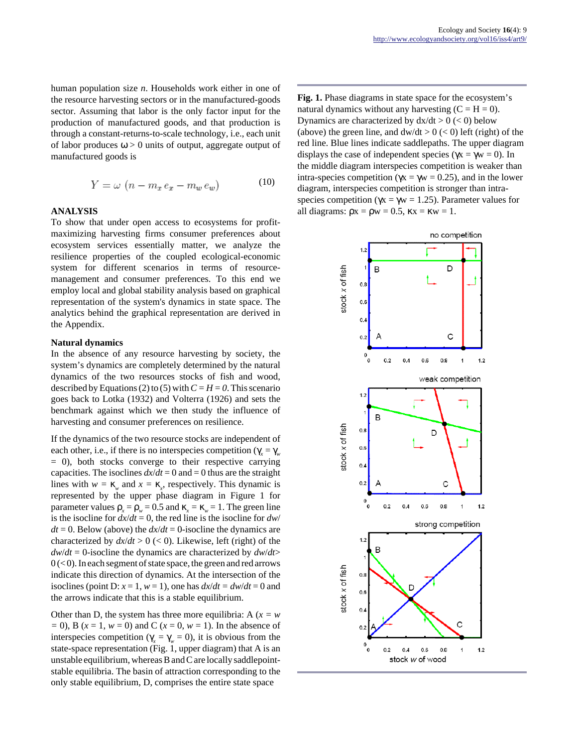human population size *n*. Households work either in one of the resource harvesting sectors or in the manufactured-goods sector. Assuming that labor is the only factor input for the production of manufactured goods, and that production is through a constant-returns-to-scale technology, i.e., each unit of labor produces  $\omega > 0$  units of output, aggregate output of manufactured goods is

$$
Y = \omega \left( n - m_x e_x - m_w e_w \right) \tag{10}
$$

#### **ANALYSIS**

To show that under open access to ecosystems for profitmaximizing harvesting firms consumer preferences about ecosystem services essentially matter, we analyze the resilience properties of the coupled ecological-economic system for different scenarios in terms of resourcemanagement and consumer preferences. To this end we employ local and global stability analysis based on graphical representation of the system's dynamics in state space. The analytics behind the graphical representation are derived in the Appendix.

#### **Natural dynamics**

In the absence of any resource harvesting by society, the system's dynamics are completely determined by the natural dynamics of the two resources stocks of fish and wood, described by Equations (2) to (5) with  $C = H = 0$ . This scenario goes back to Lotka (1932) and Volterra (1926) and sets the benchmark against which we then study the influence of harvesting and consumer preferences on resilience.

If the dynamics of the two resource stocks are independent of each other, i.e., if there is no interspecies competition ( $\gamma_x = \gamma_w$  $= 0$ ), both stocks converge to their respective carrying capacities. The isoclines  $dx/dt = 0$  and  $= 0$  thus are the straight lines with  $w = \kappa_w$  and  $x = \kappa_x$ , respectively. This dynamic is represented by the upper phase diagram in Figure 1 for parameter values  $\rho_x = \rho_w = 0.5$  and  $\kappa_x = \kappa_w = 1$ . The green line is the isocline for *dx*/*dt* = 0, the red line is the isocline for *dw*/  $dt = 0$ . Below (above) the  $dx/dt = 0$ -isocline the dynamics are characterized by  $dx/dt > 0$  (< 0). Likewise, left (right) of the *dw*/*dt* = 0-isocline the dynamics are characterized by *dw*/*dt*>  $0 \leq 0$ . In each segment of state space, the green and red arrows indicate this direction of dynamics. At the intersection of the isoclines (point D:  $x = 1$ ,  $w = 1$ ), one has  $dx/dt = dw/dt = 0$  and the arrows indicate that this is a stable equilibrium.

Other than D, the system has three more equilibria:  $A(x = w)$ *=* 0), B (*x* = 1, *w* = 0) and C (*x* = 0, *w* = 1). In the absence of interspecies competition ( $\gamma_x = \gamma_w = 0$ ), it is obvious from the state-space representation (Fig. 1, upper diagram) that A is an unstable equilibrium, whereas B and C are locally saddlepointstable equilibria. The basin of attraction corresponding to the only stable equilibrium, D, comprises the entire state space

**Fig. 1.** Phase diagrams in state space for the ecosystem's natural dynamics without any harvesting  $(C = H = 0)$ . Dynamics are characterized by  $dx/dt > 0$  (< 0) below (above) the green line, and  $dw/dt > 0$  (< 0) left (right) of the red line. Blue lines indicate saddlepaths. The upper diagram displays the case of independent species ( $\gamma x = \gamma w = 0$ ). In the middle diagram interspecies competition is weaker than intra-species competition ( $\gamma x = \gamma w = 0.25$ ), and in the lower diagram, interspecies competition is stronger than intraspecies competition ( $\gamma x = \gamma w = 1.25$ ). Parameter values for all diagrams:  $\rho x = \rho w = 0.5$ ,  $\kappa x = \kappa w = 1$ .

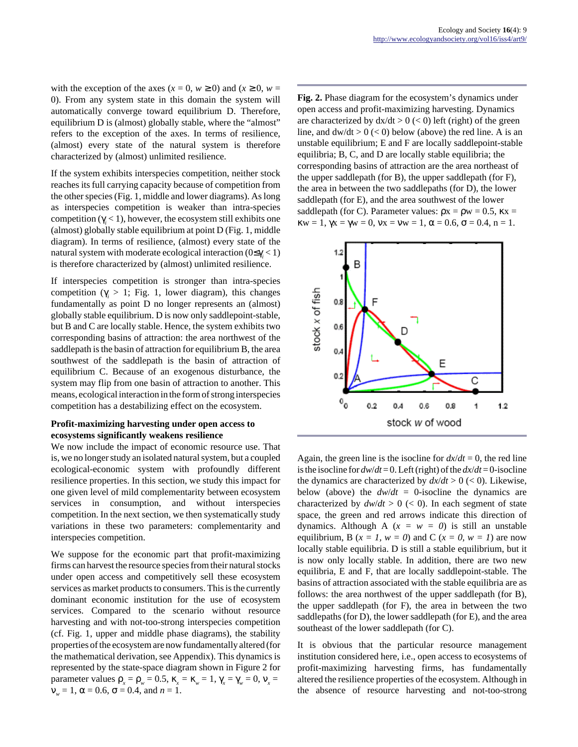with the exception of the axes ( $x = 0$ ,  $w \ge 0$ ) and ( $x \ge 0$ ,  $w =$ 0). From any system state in this domain the system will automatically converge toward equilibrium D. Therefore, equilibrium D is (almost) globally stable, where the "almost" refers to the exception of the axes. In terms of resilience, (almost) every state of the natural system is therefore characterized by (almost) unlimited resilience.

If the system exhibits interspecies competition, neither stock reaches its full carrying capacity because of competition from the other species (Fig. 1, middle and lower diagrams). As long as interspecies competition is weaker than intra-species competition  $(\gamma_i < 1)$ , however, the ecosystem still exhibits one (almost) globally stable equilibrium at point D (Fig. 1, middle diagram). In terms of resilience, (almost) every state of the natural system with moderate ecological interaction (0≤γ*<sup>i</sup>* < 1) is therefore characterized by (almost) unlimited resilience.

If interspecies competition is stronger than intra-species competition ( $\gamma$ <sub>i</sub> > 1; Fig. 1, lower diagram), this changes fundamentally as point D no longer represents an (almost) globally stable equilibrium. D is now only saddlepoint-stable, but B and C are locally stable. Hence, the system exhibits two corresponding basins of attraction: the area northwest of the saddlepath is the basin of attraction for equilibrium B, the area southwest of the saddlepath is the basin of attraction of equilibrium C. Because of an exogenous disturbance, the system may flip from one basin of attraction to another. This means, ecological interaction in the form of strong interspecies competition has a destabilizing effect on the ecosystem.

#### **Profit-maximizing harvesting under open access to ecosystems significantly weakens resilience**

We now include the impact of economic resource use. That is, we no longer study an isolated natural system, but a coupled ecological-economic system with profoundly different resilience properties. In this section, we study this impact for one given level of mild complementarity between ecosystem services in consumption, and without interspecies competition. In the next section, we then systematically study variations in these two parameters: complementarity and interspecies competition.

We suppose for the economic part that profit-maximizing firms can harvest the resource species from their natural stocks under open access and competitively sell these ecosystem services as market products to consumers. This is the currently dominant economic institution for the use of ecosystem services. Compared to the scenario without resource harvesting and with not-too-strong interspecies competition (cf. Fig. 1, upper and middle phase diagrams), the stability properties of the ecosystem are now fundamentally altered (for the mathematical derivation, see Appendix). This dynamics is represented by the state-space diagram shown in Figure 2 for parameter values  $\rho_x = \rho_w = 0.5$ ,  $\kappa_x = \kappa_w = 1$ ,  $\gamma_x = \gamma_w = 0$ ,  $v_x =$  $v_w = 1$ ,  $\alpha = 0.6$ ,  $\sigma = 0.4$ , and  $n = 1$ .

**Fig. 2.** Phase diagram for the ecosystem's dynamics under open access and profit-maximizing harvesting. Dynamics are characterized by  $dx/dt > 0$  (< 0) left (right) of the green line, and  $dw/dt > 0$  (< 0) below (above) the red line. A is an unstable equilibrium; E and F are locally saddlepoint-stable equilibria; B, C, and D are locally stable equilibria; the corresponding basins of attraction are the area northeast of the upper saddlepath (for B), the upper saddlepath (for F), the area in between the two saddlepaths (for D), the lower saddlepath (for E), and the area southwest of the lower saddlepath (for C). Parameter values:  $px = \rho w = 0.5$ ,  $kx =$  $\kappa w = 1$ ,  $\gamma x = \gamma w = 0$ ,  $\nu x = \nu w = 1$ ,  $\alpha = 0.6$ ,  $\sigma = 0.4$ ,  $n = 1$ .



Again, the green line is the isocline for  $dx/dt = 0$ , the red line is the isocline for *dw*/*dt* = 0. Left (right) of the *dx*/*dt* = 0-isocline the dynamics are characterized by  $dx/dt > 0$  (< 0). Likewise, below (above) the  $dw/dt = 0$ -isocline the dynamics are characterized by  $dw/dt > 0$  (< 0). In each segment of state space, the green and red arrows indicate this direction of dynamics. Although A  $(x = w = 0)$  is still an unstable equilibrium, B ( $x = 1$ ,  $w = 0$ ) and C ( $x = 0$ ,  $w = 1$ ) are now locally stable equilibria. D is still a stable equilibrium, but it is now only locally stable. In addition, there are two new equilibria, E and F, that are locally saddlepoint-stable. The basins of attraction associated with the stable equilibria are as follows: the area northwest of the upper saddlepath (for B), the upper saddlepath (for F), the area in between the two saddlepaths (for D), the lower saddlepath (for E), and the area southeast of the lower saddlepath (for C).

It is obvious that the particular resource management institution considered here, i.e., open access to ecosystems of profit-maximizing harvesting firms, has fundamentally altered the resilience properties of the ecosystem. Although in the absence of resource harvesting and not-too-strong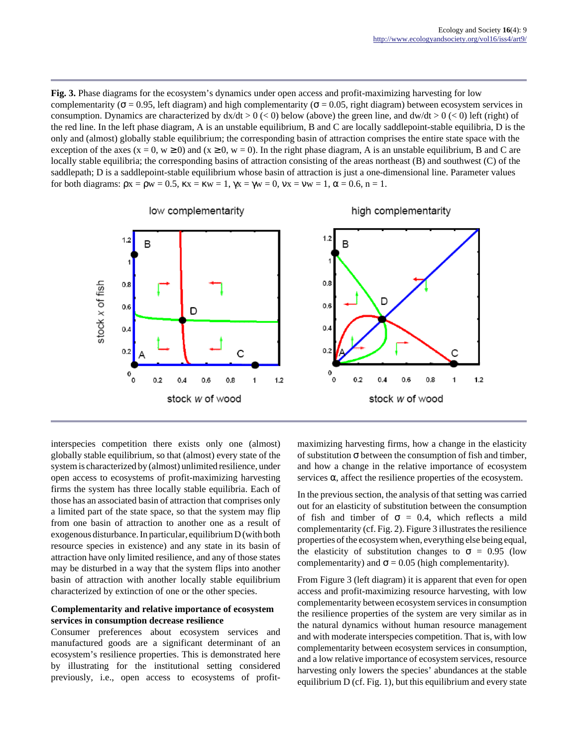**Fig. 3.** Phase diagrams for the ecosystem's dynamics under open access and profit-maximizing harvesting for low complementarity (σ = 0.95, left diagram) and high complementarity (σ = 0.05, right diagram) between ecosystem services in consumption. Dynamics are characterized by  $dx/dt > 0 \leq 0$  below (above) the green line, and  $dw/dt > 0 \leq 0$  left (right) of the red line. In the left phase diagram, A is an unstable equilibrium, B and C are locally saddlepoint-stable equilibria, D is the only and (almost) globally stable equilibrium; the corresponding basin of attraction comprises the entire state space with the exception of the axes (x = 0, w  $\geq$  0) and (x  $\geq$  0, w = 0). In the right phase diagram, A is an unstable equilibrium, B and C are locally stable equilibria; the corresponding basins of attraction consisting of the areas northeast (B) and southwest (C) of the saddlepath; D is a saddlepoint-stable equilibrium whose basin of attraction is just a one-dimensional line. Parameter values for both diagrams:  $\rho x = \rho w = 0.5$ ,  $\kappa x = \kappa w = 1$ ,  $\gamma x = \gamma w = 0$ ,  $\nu x = \nu w = 1$ ,  $\alpha = 0.6$ ,  $n = 1$ .



interspecies competition there exists only one (almost) globally stable equilibrium, so that (almost) every state of the system is characterized by (almost) unlimited resilience, under open access to ecosystems of profit-maximizing harvesting firms the system has three locally stable equilibria. Each of those has an associated basin of attraction that comprises only a limited part of the state space, so that the system may flip from one basin of attraction to another one as a result of exogenous disturbance. In particular, equilibrium D (with both resource species in existence) and any state in its basin of attraction have only limited resilience, and any of those states may be disturbed in a way that the system flips into another basin of attraction with another locally stable equilibrium characterized by extinction of one or the other species.

### **Complementarity and relative importance of ecosystem services in consumption decrease resilience**

Consumer preferences about ecosystem services and manufactured goods are a significant determinant of an ecosystem's resilience properties. This is demonstrated here by illustrating for the institutional setting considered previously, i.e., open access to ecosystems of profitmaximizing harvesting firms, how a change in the elasticity of substitution  $\sigma$  between the consumption of fish and timber, and how a change in the relative importance of ecosystem services  $\alpha$ , affect the resilience properties of the ecosystem.

In the previous section, the analysis of that setting was carried out for an elasticity of substitution between the consumption of fish and timber of  $\sigma = 0.4$ , which reflects a mild complementarity (cf. Fig. 2). Figure 3 illustrates the resilience properties of the ecosystem when, everything else being equal, the elasticity of substitution changes to  $\sigma = 0.95$  (low complementarity) and  $\sigma = 0.05$  (high complementarity).

From Figure 3 (left diagram) it is apparent that even for open access and profit-maximizing resource harvesting, with low complementarity between ecosystem services in consumption the resilience properties of the system are very similar as in the natural dynamics without human resource management and with moderate interspecies competition. That is, with low complementarity between ecosystem services in consumption, and a low relative importance of ecosystem services, resource harvesting only lowers the species' abundances at the stable equilibrium D (cf. Fig. 1), but this equilibrium and every state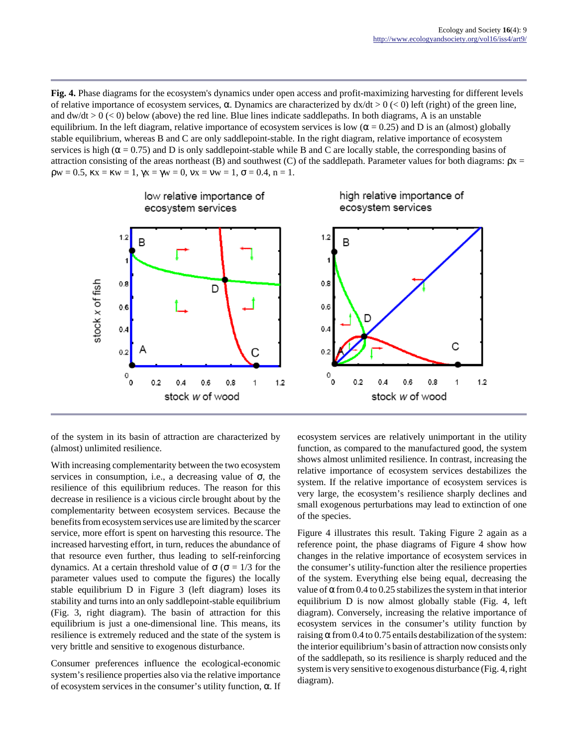**Fig. 4.** Phase diagrams for the ecosystem's dynamics under open access and profit-maximizing harvesting for different levels of relative importance of ecosystem services, α. Dynamics are characterized by dx/dt > 0 (< 0) left (right) of the green line, and  $dw/dt > 0$  (< 0) below (above) the red line. Blue lines indicate saddlepaths. In both diagrams, A is an unstable equilibrium. In the left diagram, relative importance of ecosystem services is low ( $\alpha$  = 0.25) and D is an (almost) globally stable equilibrium, whereas B and C are only saddlepoint-stable. In the right diagram, relative importance of ecosystem services is high ( $\alpha$  = 0.75) and D is only saddlepoint-stable while B and C are locally stable, the corresponding basins of attraction consisting of the areas northeast (B) and southwest (C) of the saddlepath. Parameter values for both diagrams:  $px =$  $\rho w = 0.5$ ,  $\kappa x = \kappa w = 1$ ,  $\gamma x = \gamma w = 0$ ,  $v x = v w = 1$ ,  $\sigma = 0.4$ ,  $n = 1$ .



of the system in its basin of attraction are characterized by (almost) unlimited resilience.

With increasing complementarity between the two ecosystem services in consumption, i.e., a decreasing value of  $\sigma$ , the resilience of this equilibrium reduces. The reason for this decrease in resilience is a vicious circle brought about by the complementarity between ecosystem services. Because the benefits from ecosystem services use are limited by the scarcer service, more effort is spent on harvesting this resource. The increased harvesting effort, in turn, reduces the abundance of that resource even further, thus leading to self-reinforcing dynamics. At a certain threshold value of  $\sigma$  ( $\sigma$  = 1/3 for the parameter values used to compute the figures) the locally stable equilibrium D in Figure 3 (left diagram) loses its stability and turns into an only saddlepoint-stable equilibrium (Fig. 3, right diagram). The basin of attraction for this equilibrium is just a one-dimensional line. This means, its resilience is extremely reduced and the state of the system is very brittle and sensitive to exogenous disturbance.

Consumer preferences influence the ecological-economic system's resilience properties also via the relative importance of ecosystem services in the consumer's utility function,  $\alpha$ . If ecosystem services are relatively unimportant in the utility function, as compared to the manufactured good, the system shows almost unlimited resilience. In contrast, increasing the relative importance of ecosystem services destabilizes the system. If the relative importance of ecosystem services is very large, the ecosystem's resilience sharply declines and small exogenous perturbations may lead to extinction of one of the species.

Figure 4 illustrates this result. Taking Figure 2 again as a reference point, the phase diagrams of Figure 4 show how changes in the relative importance of ecosystem services in the consumer's utility-function alter the resilience properties of the system. Everything else being equal, decreasing the value of  $\alpha$  from 0.4 to 0.25 stabilizes the system in that interior equilibrium D is now almost globally stable (Fig. 4, left diagram). Conversely, increasing the relative importance of ecosystem services in the consumer's utility function by raising  $\alpha$  from 0.4 to 0.75 entails destabilization of the system: the interior equilibrium's basin of attraction now consists only of the saddlepath, so its resilience is sharply reduced and the system is very sensitive to exogenous disturbance (Fig. 4, right diagram).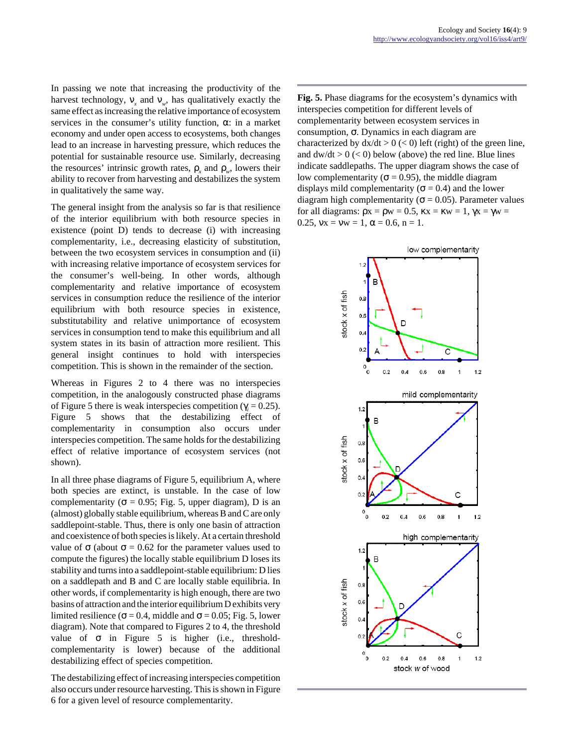In passing we note that increasing the productivity of the harvest technology,  $v_x$  and  $v_w$ , has qualitatively exactly the same effect as increasing the relative importance of ecosystem services in the consumer's utility function,  $\alpha$ : in a market economy and under open access to ecosystems, both changes lead to an increase in harvesting pressure, which reduces the potential for sustainable resource use. Similarly, decreasing the resources' intrinsic growth rates,  $\rho_x$  and  $\rho_w$ , lowers their ability to recover from harvesting and destabilizes the system in qualitatively the same way.

The general insight from the analysis so far is that resilience of the interior equilibrium with both resource species in existence (point D) tends to decrease (i) with increasing complementarity, i.e., decreasing elasticity of substitution, between the two ecosystem services in consumption and (ii) with increasing relative importance of ecosystem services for the consumer's well-being. In other words, although complementarity and relative importance of ecosystem services in consumption reduce the resilience of the interior equilibrium with both resource species in existence, substitutability and relative unimportance of ecosystem services in consumption tend to make this equilibrium and all system states in its basin of attraction more resilient. This general insight continues to hold with interspecies competition. This is shown in the remainder of the section.

Whereas in Figures 2 to 4 there was no interspecies competition, in the analogously constructed phase diagrams of Figure 5 there is weak interspecies competition ( $\gamma_i = 0.25$ ). Figure 5 shows that the destabilizing effect of complementarity in consumption also occurs under interspecies competition. The same holds for the destabilizing effect of relative importance of ecosystem services (not shown).

In all three phase diagrams of Figure 5, equilibrium A, where both species are extinct, is unstable. In the case of low complementarity ( $\sigma = 0.95$ ; Fig. 5, upper diagram), D is an (almost) globally stable equilibrium, whereas B and C are only saddlepoint-stable. Thus, there is only one basin of attraction and coexistence of both species is likely. At a certain threshold value of  $\sigma$  (about  $\sigma$  = 0.62 for the parameter values used to compute the figures) the locally stable equilibrium D loses its stability and turns into a saddlepoint-stable equilibrium: D lies on a saddlepath and B and C are locally stable equilibria. In other words, if complementarity is high enough, there are two basins of attraction and the interior equilibrium D exhibits very limited resilience ( $\sigma$  = 0.4, middle and  $\sigma$  = 0.05; Fig. 5, lower diagram). Note that compared to Figures 2 to 4, the threshold value of  $\sigma$  in Figure 5 is higher (i.e., thresholdcomplementarity is lower) because of the additional destabilizing effect of species competition.

The destabilizing effect of increasing interspecies competition also occurs under resource harvesting. This is shown in Figure 6 for a given level of resource complementarity.

**Fig. 5.** Phase diagrams for the ecosystem's dynamics with interspecies competition for different levels of complementarity between ecosystem services in consumption, σ. Dynamics in each diagram are characterized by  $dx/dt > 0$  (< 0) left (right) of the green line, and  $dw/dt > 0$  (< 0) below (above) the red line. Blue lines indicate saddlepaths. The upper diagram shows the case of low complementarity ( $\sigma$  = 0.95), the middle diagram displays mild complementarity ( $\sigma$  = 0.4) and the lower diagram high complementarity ( $\sigma$  = 0.05). Parameter values for all diagrams:  $ρx = ρw = 0.5$ ,  $κx = κw = 1$ ,  $γx = γw =$ 0.25,  $vx = vw = 1$ ,  $\alpha = 0.6$ ,  $n = 1$ .

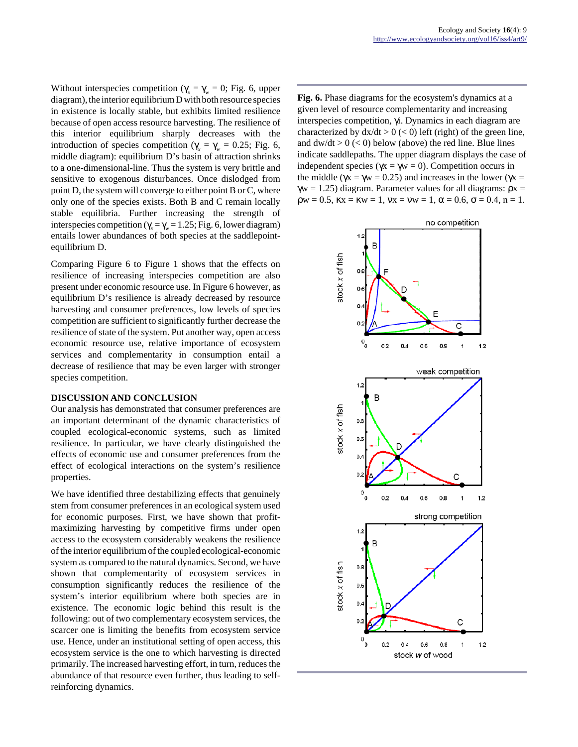Without interspecies competition ( $\gamma_x = \gamma_w = 0$ ; Fig. 6, upper diagram), the interior equilibrium D with both resource species in existence is locally stable, but exhibits limited resilience because of open access resource harvesting. The resilience of this interior equilibrium sharply decreases with the introduction of species competition ( $\gamma_x = \gamma_w = 0.25$ ; Fig. 6, middle diagram): equilibrium D's basin of attraction shrinks to a one-dimensional-line. Thus the system is very brittle and sensitive to exogenous disturbances. Once dislodged from point D, the system will converge to either point B or C, where only one of the species exists. Both B and C remain locally stable equilibria. Further increasing the strength of interspecies competition ( $\gamma_x = \gamma_w = 1.25$ ; Fig. 6, lower diagram) entails lower abundances of both species at the saddlepointequilibrium D.

Comparing Figure 6 to Figure 1 shows that the effects on resilience of increasing interspecies competition are also present under economic resource use. In Figure 6 however, as equilibrium D's resilience is already decreased by resource harvesting and consumer preferences, low levels of species competition are sufficient to significantly further decrease the resilience of state of the system. Put another way, open access economic resource use, relative importance of ecosystem services and complementarity in consumption entail a decrease of resilience that may be even larger with stronger species competition.

#### **DISCUSSION AND CONCLUSION**

Our analysis has demonstrated that consumer preferences are an important determinant of the dynamic characteristics of coupled ecological-economic systems, such as limited resilience. In particular, we have clearly distinguished the effects of economic use and consumer preferences from the effect of ecological interactions on the system's resilience properties.

We have identified three destabilizing effects that genuinely stem from consumer preferences in an ecological system used for economic purposes. First, we have shown that profitmaximizing harvesting by competitive firms under open access to the ecosystem considerably weakens the resilience of the interior equilibrium of the coupled ecological-economic system as compared to the natural dynamics. Second, we have shown that complementarity of ecosystem services in consumption significantly reduces the resilience of the system's interior equilibrium where both species are in existence. The economic logic behind this result is the following: out of two complementary ecosystem services, the scarcer one is limiting the benefits from ecosystem service use. Hence, under an institutional setting of open access, this ecosystem service is the one to which harvesting is directed primarily. The increased harvesting effort, in turn, reduces the abundance of that resource even further, thus leading to selfreinforcing dynamics.

**Fig. 6.** Phase diagrams for the ecosystem's dynamics at a given level of resource complementarity and increasing interspecies competition, γi. Dynamics in each diagram are characterized by  $dx/dt > 0$  (< 0) left (right) of the green line, and  $dw/dt > 0$  (< 0) below (above) the red line. Blue lines indicate saddlepaths. The upper diagram displays the case of independent species ( $\gamma x = \gamma w = 0$ ). Competition occurs in the middle ( $\gamma x = \gamma w = 0.25$ ) and increases in the lower ( $\gamma x =$  $γw = 1.25$ ) diagram. Parameter values for all diagrams:  $ρx =$  $\rho w = 0.5$ ,  $\kappa x = \kappa w = 1$ ,  $v x = v w = 1$ ,  $\alpha = 0.6$ ,  $\sigma = 0.4$ ,  $n = 1$ .

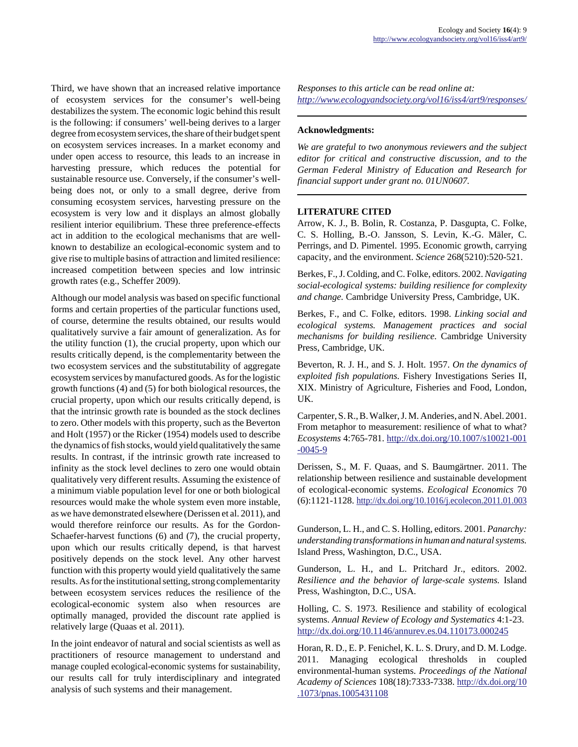Third, we have shown that an increased relative importance of ecosystem services for the consumer's well-being destabilizes the system. The economic logic behind this result is the following: if consumers' well-being derives to a larger degree from ecosystem services, the share of their budget spent on ecosystem services increases. In a market economy and under open access to resource, this leads to an increase in harvesting pressure, which reduces the potential for sustainable resource use. Conversely, if the consumer's wellbeing does not, or only to a small degree, derive from consuming ecosystem services, harvesting pressure on the ecosystem is very low and it displays an almost globally resilient interior equilibrium. These three preference-effects act in addition to the ecological mechanisms that are wellknown to destabilize an ecological-economic system and to give rise to multiple basins of attraction and limited resilience: increased competition between species and low intrinsic growth rates (e.g., Scheffer 2009).

Although our model analysis was based on specific functional forms and certain properties of the particular functions used, of course, determine the results obtained, our results would qualitatively survive a fair amount of generalization. As for the utility function (1), the crucial property, upon which our results critically depend, is the complementarity between the two ecosystem services and the substitutability of aggregate ecosystem services by manufactured goods. As for the logistic growth functions (4) and (5) for both biological resources, the crucial property, upon which our results critically depend, is that the intrinsic growth rate is bounded as the stock declines to zero. Other models with this property, such as the Beverton and Holt (1957) or the Ricker (1954) models used to describe the dynamics of fish stocks, would yield qualitatively the same results. In contrast, if the intrinsic growth rate increased to infinity as the stock level declines to zero one would obtain qualitatively very different results. Assuming the existence of a minimum viable population level for one or both biological resources would make the whole system even more instable, as we have demonstrated elsewhere (Derissen et al. 2011), and would therefore reinforce our results. As for the Gordon-Schaefer-harvest functions (6) and (7), the crucial property, upon which our results critically depend, is that harvest positively depends on the stock level. Any other harvest function with this property would yield qualitatively the same results. As for the institutional setting, strong complementarity between ecosystem services reduces the resilience of the ecological-economic system also when resources are optimally managed, provided the discount rate applied is relatively large (Quaas et al. 2011).

In the joint endeavor of natural and social scientists as well as practitioners of resource management to understand and manage coupled ecological-economic systems for sustainability, our results call for truly interdisciplinary and integrated analysis of such systems and their management.

*Responses to this article can be read online at: <http://www.ecologyandsociety.org/vol16/iss4/art9/responses/>*

#### **Acknowledgments:**

*We are grateful to two anonymous reviewers and the subject editor for critical and constructive discussion, and to the German Federal Ministry of Education and Research for financial support under grant no. 01UN0607.*

#### **LITERATURE CITED**

Arrow, K. J., B. Bolin, R. Costanza, P. Dasgupta, C. Folke, C. S. Holling, B.-O. Jansson, S. Levin, K.-G. Mäler, C. Perrings, and D. Pimentel. 1995. Economic growth, carrying capacity, and the environment. *Science* 268(5210):520-521.

Berkes, F., J. Colding, and C. Folke, editors. 2002. *Navigating social-ecological systems: building resilience for complexity and change.* Cambridge University Press, Cambridge, UK.

Berkes, F., and C. Folke, editors. 1998. *Linking social and ecological systems. Management practices and social mechanisms for building resilience.* Cambridge University Press, Cambridge, UK.

Beverton, R. J. H., and S. J. Holt. 1957. *On the dynamics of exploited fish populations.* Fishery Investigations Series II, XIX. Ministry of Agriculture, Fisheries and Food, London, UK.

Carpenter, S. R., B. Walker, J. M. Anderies, and N. Abel. 2001. From metaphor to measurement: resilience of what to what? *Ecosystems* 4:765-781. [http://dx.doi.org/10.1007/s10021-001](http://dx.doi.org/10.1007/s10021-001-0045-9)  $-0045-9$ 

Derissen, S., M. F. Quaas, and S. Baumgärtner. 2011. The relationship between resilience and sustainable development of ecological-economic systems. *Ecological Economics* 70 (6):1121-1128. <http://dx.doi.org/10.1016/j.ecolecon.2011.01.003>

Gunderson, L. H., and C. S. Holling, editors. 2001. *Panarchy: understanding transformations in human and natural systems.* Island Press, Washington, D.C., USA.

Gunderson, L. H., and L. Pritchard Jr., editors. 2002. *Resilience and the behavior of large-scale systems.* Island Press, Washington, D.C., USA.

Holling, C. S. 1973. Resilience and stability of ecological systems. *Annual Review of Ecology and Systematics* 4:1-23. <http://dx.doi.org/10.1146/annurev.es.04.110173.000245>

Horan, R. D., E. P. Fenichel, K. L. S. Drury, and D. M. Lodge. 2011. Managing ecological thresholds in coupled environmental-human systems. *Proceedings of the National Academy of Sciences* 108(18):7333-7338. [http://dx.doi.org/10](http://dx.doi.org/10.1073/pnas.1005431108) [.1073/pnas.1005431108](http://dx.doi.org/10.1073/pnas.1005431108)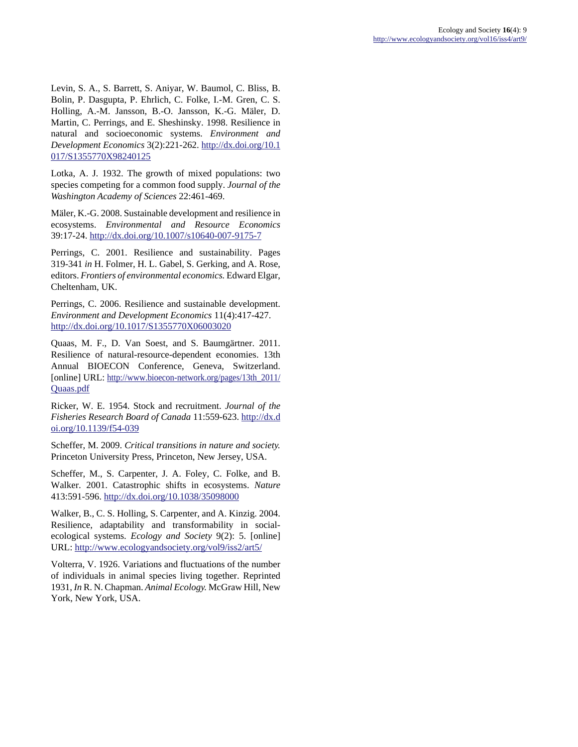Levin, S. A., S. Barrett, S. Aniyar, W. Baumol, C. Bliss, B. Bolin, P. Dasgupta, P. Ehrlich, C. Folke, I.-M. Gren, C. S. Holling, A.-M. Jansson, B.-O. Jansson, K.-G. Mäler, D. Martin, C. Perrings, and E. Sheshinsky. 1998. Resilience in natural and socioeconomic systems. *Environment and Development Economics* 3(2):221-262. [http://dx.doi.org/10.1](http://dx.doi.org/10.1017/S1355770X98240125) [017/S1355770X98240125](http://dx.doi.org/10.1017/S1355770X98240125)

Lotka, A. J. 1932. The growth of mixed populations: two species competing for a common food supply. *Journal of the Washington Academy of Sciences* 22:461-469.

Mäler, K.-G. 2008. Sustainable development and resilience in ecosystems. *Environmental and Resource Economics* 39:17-24.<http://dx.doi.org/10.1007/s10640-007-9175-7>

Perrings, C. 2001. Resilience and sustainability. Pages 319-341 *in* H. Folmer, H. L. Gabel, S. Gerking, and A. Rose, editors. *Frontiers of environmental economics.* Edward Elgar, Cheltenham, UK.

Perrings, C. 2006. Resilience and sustainable development. *Environment and Development Economics* 11(4):417-427. <http://dx.doi.org/10.1017/S1355770X06003020>

Quaas, M. F., D. Van Soest, and S. Baumgärtner. 2011. Resilience of natural-resource-dependent economies. 13th Annual BIOECON Conference, Geneva, Switzerland. [online] URL: [http://www.bioecon-network.org/pages/13th\\_2011/](http://www.bioecon-network.org/pages/13th_2011/Quaas.pdf) [Quaas.pdf](http://www.bioecon-network.org/pages/13th_2011/Quaas.pdf)

Ricker, W. E. 1954. Stock and recruitment. *Journal of the Fisheries Research Board of Canada* 11:559-623. [http://dx.d](http://dx.doi.org/10.1139/f54-039) [oi.org/10.1139/f54-039](http://dx.doi.org/10.1139/f54-039)

Scheffer, M. 2009. *Critical transitions in nature and society.* Princeton University Press, Princeton, New Jersey, USA.

Scheffer, M., S. Carpenter, J. A. Foley, C. Folke, and B. Walker. 2001. Catastrophic shifts in ecosystems. *Nature* 413:591-596.<http://dx.doi.org/10.1038/35098000>

Walker, B., C. S. Holling, S. Carpenter, and A. Kinzig. 2004. Resilience, adaptability and transformability in socialecological systems. *Ecology and Society* 9(2): 5. [online] URL:<http://www.ecologyandsociety.org/vol9/iss2/art5/>

Volterra, V. 1926. Variations and fluctuations of the number of individuals in animal species living together. Reprinted 1931, *In* R. N. Chapman. *Animal Ecology.* McGraw Hill, New York, New York, USA.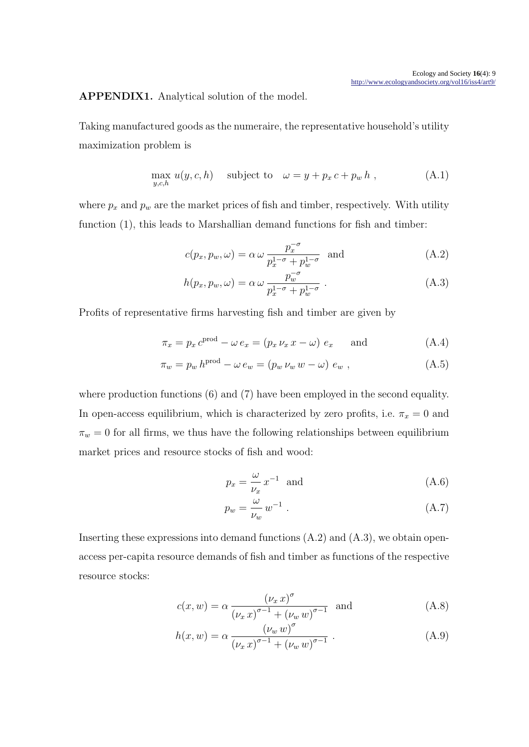# APPENDIX1. Analytical solution of the model.

Taking manufactured goods as the numeraire, the representative household's utility maximization problem is

$$
\max_{y,c,h} u(y,c,h) \quad \text{subject to} \quad \omega = y + p_x c + p_w h \tag{A.1}
$$

where  $p_x$  and  $p_w$  are the market prices of fish and timber, respectively. With utility function (1), this leads to Marshallian demand functions for fish and timber:

$$
c(p_x, p_w, \omega) = \alpha \omega \frac{p_x^{-\sigma}}{p_x^{1-\sigma} + p_w^{1-\sigma}} \text{ and } (A.2)
$$

$$
h(p_x, p_w, \omega) = \alpha \omega \frac{p_w^{-\sigma}}{p_x^{1-\sigma} + p_w^{1-\sigma}}.
$$
 (A.3)

Profits of representative firms harvesting fish and timber are given by

$$
\pi_x = p_x c^{\text{prod}} - \omega e_x = (p_x \nu_x x - \omega) e_x \quad \text{and} \quad (A.4)
$$

$$
\pi_w = p_w h^{\text{prod}} - \omega e_w = (p_w \nu_w w - \omega) e_w , \qquad (A.5)
$$

where production functions (6) and (7) have been employed in the second equality. In open-access equilibrium, which is characterized by zero profits, i.e.  $\pi_x = 0$  and  $\pi_w = 0$  for all firms, we thus have the following relationships between equilibrium market prices and resource stocks of fish and wood:

$$
p_x = \frac{\omega}{\nu_x} x^{-1} \quad \text{and} \tag{A.6}
$$

$$
p_w = \frac{\omega}{\nu_w} w^{-1} \tag{A.7}
$$

Inserting these expressions into demand functions  $(A.2)$  and  $(A.3)$ , we obtain openaccess per-capita resource demands of fish and timber as functions of the respective resource stocks:

$$
c(x, w) = \alpha \frac{(v_x x)^{\sigma}}{(v_x x)^{\sigma - 1} + (v_w w)^{\sigma - 1}} \text{ and } (A.8)
$$

$$
h(x, w) = \alpha \frac{(\nu_w w)^{\sigma}}{(\nu_x x)^{\sigma - 1} + (\nu_w w)^{\sigma - 1}}.
$$
 (A.9)